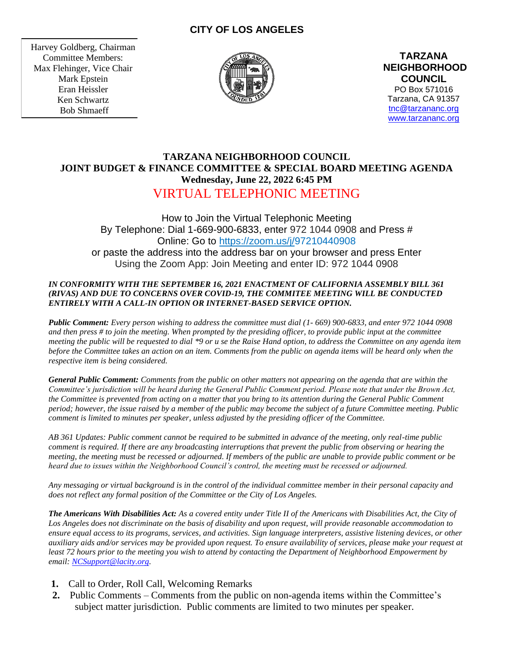# **CITY OF LOS ANGELES**

Harvey Goldberg, Chairman Committee Members: Max Flehinger, Vice Chair Mark Epstein Eran Heissler Ken Schwartz Bob Shmaeff



**TARZANA NEIGHBORHOOD COUNCIL**  PO Box 571016 Tarzana, CA 91357 [tnc@tarzananc.org](mailto:tnc@tarzananc.org) [www.tarzananc.org](http://www.tarzananc.org/)

# **TARZANA NEIGHBORHOOD COUNCIL JOINT BUDGET & FINANCE COMMITTEE & SPECIAL BOARD MEETING AGENDA Wednesday, June 22, 2022 6:45 PM** VIRTUAL TELEPHONIC MEETING

How to Join the Virtual Telephonic Meeting By Telephone: Dial 1-669-900-6833, enter 972 1044 0908 and Press # Online: Go to [https://zoom.us/j/9](https://zoom.us/j/)7210440908 or paste the address into the address bar on your browser and press Enter Using the Zoom App: Join Meeting and enter ID: 972 1044 0908

### *IN CONFORMITY WITH THE SEPTEMBER 16, 2021 ENACTMENT OF CALIFORNIA ASSEMBLY BILL 361 (RIVAS) AND DUE TO CONCERNS OVER COVID-19, THE COMMITEE MEETING WILL BE CONDUCTED ENTIRELY WITH A CALL-IN OPTION OR INTERNET-BASED SERVICE OPTION.*

*Public Comment: Every person wishing to address the committee must dial (1- 669) 900-6833, and enter 972 1044 0908 and then press # to join the meeting. When prompted by the presiding officer, to provide public input at the committee meeting the public will be requested to dial \*9 or u se the Raise Hand option, to address the Committee on any agenda item before the Committee takes an action on an item. Comments from the public on agenda items will be heard only when the respective item is being considered.*

*General Public Comment: Comments from the public on other matters not appearing on the agenda that are within the Committee's jurisdiction will be heard during the General Public Comment period. Please note that under the Brown Act, the Committee is prevented from acting on a matter that you bring to its attention during the General Public Comment period; however, the issue raised by a member of the public may become the subject of a future Committee meeting. Public comment is limited to minutes per speaker, unless adjusted by the presiding officer of the Committee.*

*AB 361 Updates: Public comment cannot be required to be submitted in advance of the meeting, only real-time public comment is required. If there are any broadcasting interruptions that prevent the public from observing or hearing the meeting, the meeting must be recessed or adjourned. If members of the public are unable to provide public comment or be heard due to issues within the Neighborhood Council's control, the meeting must be recessed or adjourned.*

*Any messaging or virtual background is in the control of the individual committee member in their personal capacity and does not reflect any formal position of the Committee or the City of Los Angeles.*

*The Americans With Disabilities Act: As a covered entity under Title II of the Americans with Disabilities Act, the City of Los Angeles does not discriminate on the basis of disability and upon request, will provide reasonable accommodation to ensure equal access to its programs, services, and activities. Sign language interpreters, assistive listening devices, or other auxiliary aids and/or services may be provided upon request. To ensure availability of services, please make your request at least 72 hours prior to the meeting you wish to attend by contacting the Department of Neighborhood Empowerment by email: [NCSupport@lacity.org.](mailto:NCSupport@lacity.org)*

- **1.** Call to Order, Roll Call, Welcoming Remarks
- **2.** Public Comments Comments from the public on non-agenda items within the Committee's subject matter jurisdiction. Public comments are limited to two minutes per speaker.